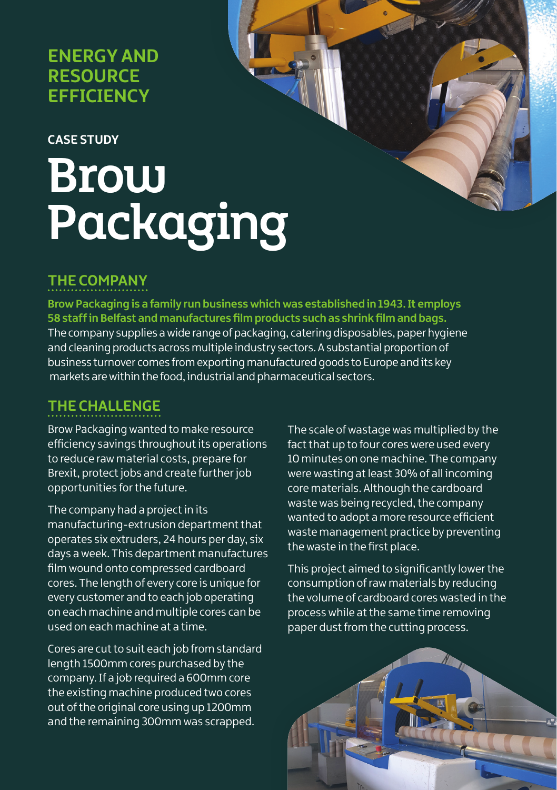# **ENERGY AND RESOURCE EFFICIENCY**

#### **CASE STUDY**

# Brow Packaging

#### **THE COMPANY**

**Brow Packaging is a family run business which was established in 1943. It employs 58 staff in Belfast and manufactures film products such as shrink film and bags.**  The company supplies a wide range of packaging, catering disposables, paper hygiene and cleaning products across multiple industry sectors. A substantial proportion of business turnover comes from exporting manufactured goods to Europe and its key markets are within the food, industrial and pharmaceutical sectors.

## **THE CHALLENGE**

Brow Packaging wanted to make resource efficiency savings throughout its operations to reduce raw material costs, prepare for Brexit, protect jobs and create further job opportunities for the future.

The company had a project in its manufacturing-extrusion department that operates six extruders, 24 hours per day, six days a week. This department manufactures film wound onto compressed cardboard cores. The length of every core is unique for every customer and to each job operating on each machine and multiple cores can be used on each machine at a time.

Cores are cut to suit each job from standard length 1500mm cores purchased by the company. If a job required a 600mm core the existing machine produced two cores out of the original core using up 1200mm and the remaining 300mm was scrapped.

The scale of wastage was multiplied by the fact that up to four cores were used every 10 minutes on one machine. The company were wasting at least 30% of all incoming core materials. Although the cardboard waste was being recycled, the company wanted to adopt a more resource efficient waste management practice by preventing the waste in the first place.

This project aimed to significantly lower the consumption of raw materials by reducing the volume of cardboard cores wasted in the process while at the same time removing paper dust from the cutting process.